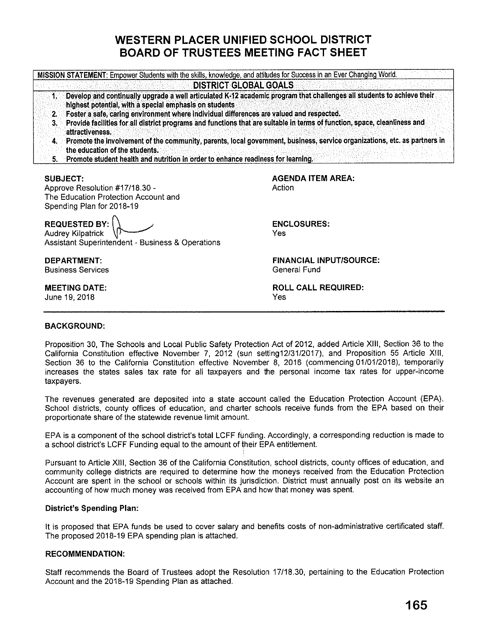# **WESTERN PLACER UNIFIED SCHOOL DISTRICT BOARD OF TRUSTEES MEETING FACT SHEET**

|    | <b>DISTRICT GLOBAL GOALS</b>                                                                                                                                                                                                                                                                                                                                                                                                    |
|----|---------------------------------------------------------------------------------------------------------------------------------------------------------------------------------------------------------------------------------------------------------------------------------------------------------------------------------------------------------------------------------------------------------------------------------|
| 3. | Develop and continually upgrade a well articulated K-12 academic program that challenges all students to achieve their<br>highest potential, with a special emphasis on students<br>2. Foster a safe, caring environment where individual differences are valued and respected.<br>Provide facilities for all district programs and functions that are suitable in terms of function, space, cleanliness and<br>attractiveness. |
|    | 4. Promote the involvement of the community, parents, local government, business, service organizations, etc. as partners in<br>the education of the students.<br>5. Promote student health and nutrition in order to enhance readiness for learning.                                                                                                                                                                           |

#### **SUBJECT:**

Approve Resolution #17118.30 - The Education Protection Account and Spending Plan for 2018-19

**REQUESTED BY:** (\ ,

Audrey Kilpatrick Assistant Superintendent - Business & Operations

**DEPARTMENT:**  Business Services

**MEETING DATE:**  June 19, 2018

**AGENDA ITEM AREA:**  Action

**ENCLOSURES:**  Yes

**FINANCIAL INPUT/SOURCE:**  General Fund

**ROLL CALL REQUIRED:**  Yes

## **BACKGROUND:**

Proposition 30, The Schools and Local Public Safety Protection Act of 2012, added Article **XIII,** Section 36 to the California Constitution effective November 7, 2012 (sun setting12/31/2017}, and Proposition 55 Article **XIII,**  Section 36 to the California Constitution effective November 8, 2016 (commencing 01/01/2018), temporarily increases the states sales tax rate for all taxpayers and the personal income tax rates for upper-income taxpayers.

The revenues generated are deposited into a state account called the Education Protection Account (EPA). School districts, county offices of education, and charter schools receive funds from the EPA based on their proportionate share of the statewide revenue limit amount.

EPA is a component of the school district's total LCFF funding. Accordingly, a corresponding reduction is made to a school district's LCFF Funding equal to the amount of their EPA entitlement.

Pursuant to Article **XIII,** Section 36 of the California Constitution, school districts, county offices of education, and community college districts are required to determine how the moneys received from the Education Protection Account are spent in the school or schools within its jurisdiction. District must annually post on its website an accounting of how much money was received from EPA and how that money was spent.

## **District's Spending Plan:**

It is proposed that EPA funds be used to cover salary and benefits costs of non-administrative certificated staff. The proposed 2018-19 EPA spending plan is attached.

## **RECOMMENDATION:**

Staff recommends the Board of Trustees adopt the Resolution 17118.30, pertaining to the Education Protection Account and the 2018-19 Spending Plan as attached.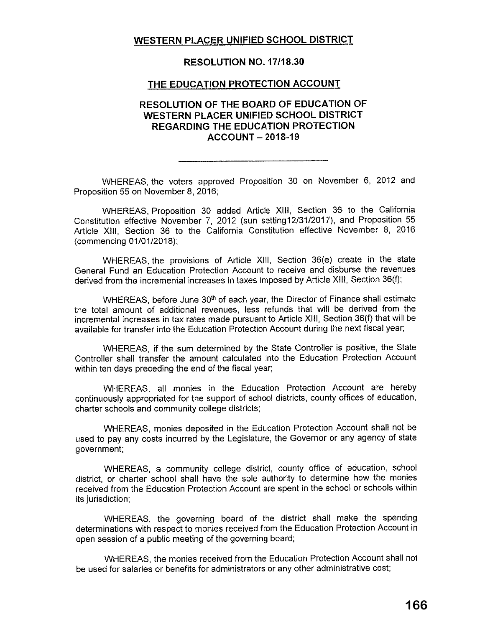# **WESTERN PLACER UNIFIED SCHOOL DISTRICT**

## **RESOLUTION NO. 17/18.30**

#### **THE EDUCATION PROTECTION ACCOUNT**

# **RESOLUTION OF THE BOARD OF EDUCATION OF WESTERN PLACER UNIFIED SCHOOL DISTRICT REGARDING THE EDUCATION PROTECTION ACCOUNT- 2018-19**

WHEREAS, the voters approved Proposition 30 on November 6, 2012 and Proposition 55 on November 8, 2016;

WHEREAS, Proposition 30 added Article **XIII,** Section 36 to the California Constitution effective November 7, 2012 (sun setting12/31/2017}, and Proposition 55 Article XIII, Section 36 to the California Constitution effective November 8, 2016 (commencing 01/01/2018);

WHEREAS, the provisions of Article XIII, Section 36(e) create in the state General Fund an Education Protection Account to receive and disburse the revenues derived from the incremental increases in taxes imposed by Article XIII, Section 36(f);

WHEREAS, before June 30<sup>th</sup> of each year, the Director of Finance shall estimate the total amount of additional revenues, less refunds that will be derived from the incremental increases in tax rates made pursuant to Article XIII, Section 36(f) that will be available for transfer into the Education Protection Account during the next fiscal year;

WHEREAS, if the sum determined by the State Controller is positive, the State Controller shall transfer the amount calculated into the Education Protection Account within ten days preceding the end of the fiscal year;

WHEREAS, all monies in the Education Protection Account are hereby continuously appropriated for the support of school districts, county offices of education, charter schools and community college districts;

WHEREAS, monies deposited in the Education Protection Account shall not be used to pay any costs incurred by the Legislature, the Governor or any agency of state government;

WHEREAS, a community college district, county office of education, school district, or charter school shall have the sole authority to determine how the monies received from the Education Protection Account are spent in the school or schools within its jurisdiction;

WHEREAS, the governing board of the district shall make the spending determinations with respect to monies received from the Education Protection Account in open session of a public meeting of the governing board;

WHEREAS, the monies received from the Education Protection Account shall not be used for salaries or benefits for administrators or any other administrative cost;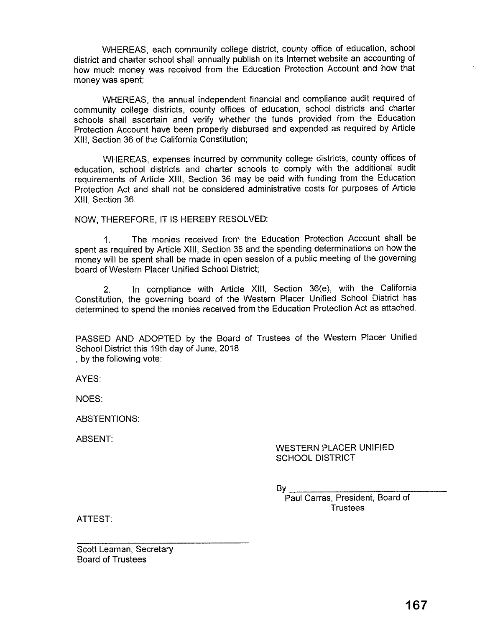WHEREAS, each community college district, county office of education, school district and charter school shall annually publish on its Internet website an accounting of how much money was received from the Education Protection Account and how that money was spent;

WHEREAS, the annual independent financial and compliance audit required of community college districts, county offices of education, school districts and charter schools shall ascertain and verify whether the funds provided from the Education Protection Account have been properly disbursed and expended as required by Article XIII, Section 36 of the California Constitution;

WHEREAS, expenses incurred by community college districts, county offices of education, school districts and charter schools to comply with the additional audit requirements of Article **XIII,** Section 36 may be paid with funding from the Education Protection Act and shall not be considered administrative costs for purposes of Article XIII, Section 36.

NOW, THEREFORE, IT IS HEREBY RESOLVED:

1. The monies received from the Education Protection Account shall be spent as required by Article **XIII,** Section 36 and the spending determinations on how the money will be spent shall be made in open session of a public meeting of the governing board of Western Placer Unified School District;

2. In compliance with Article **XIII,** Section 36(e), with the California Constitution, the governing board of the Western Placer Unified School District has determined to spend the monies received from the Education Protection Act as attached.

PASSED AND ADOPTED by the Board of Trustees of the Western Placer Unified School District this 19th day of June, 2018

, by the following vote:

AYES:

NOES:

ABSTENTIONS:

ABSENT:

## WESTERN PLACER UNIFIED SCHOOL DISTRICT

 $B_{\rm M}$ 

Paul Carras, President, Board of **Trustees** 

ATTEST:

Scott Leaman, Secretary Board of Trustees